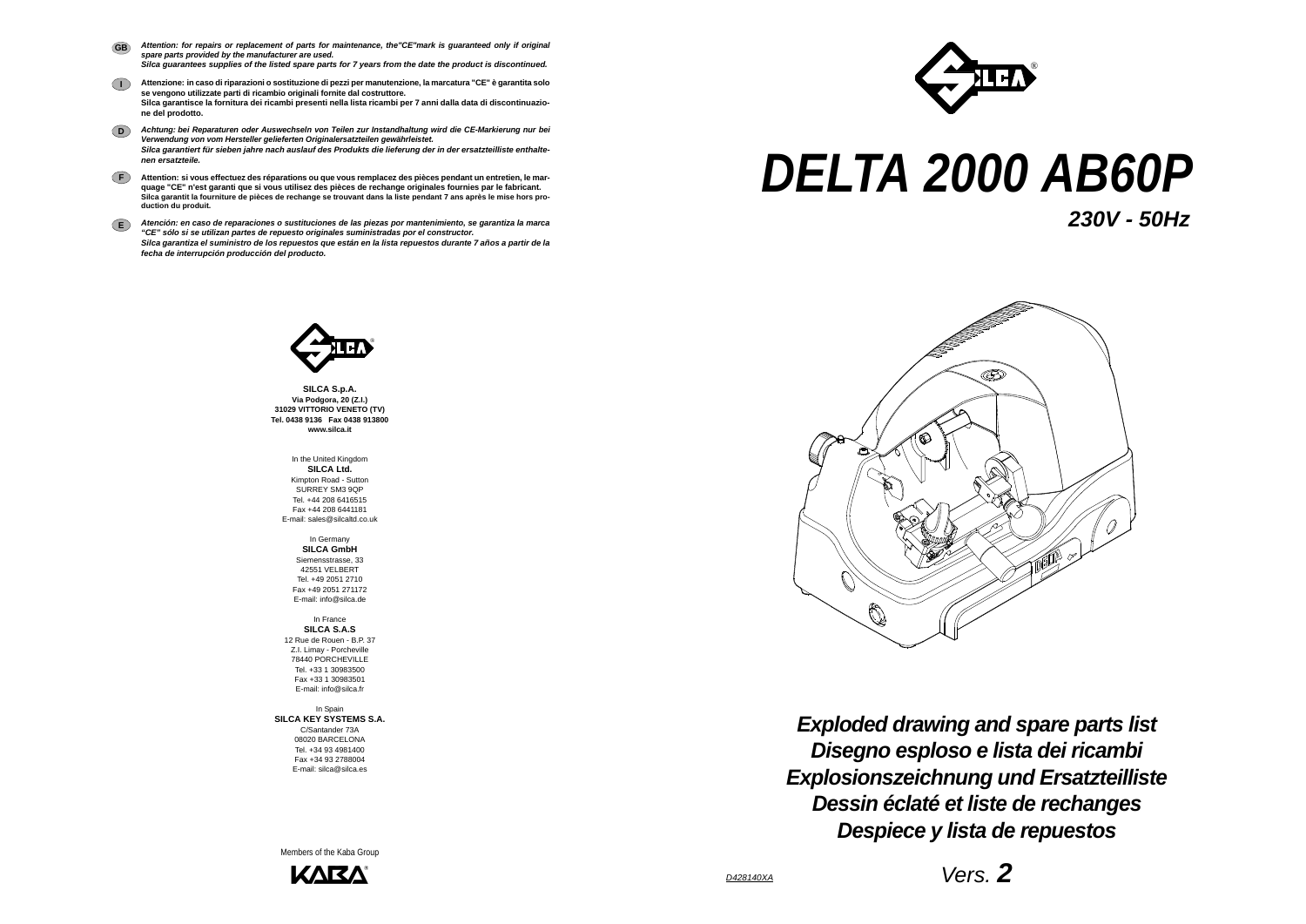

*Disegno esploso e lista dei ricambi Exploded drawing and spare parts list Explosionszeichnung und Ersatzteilliste Dessin éclaté et liste de rechanges Despiece y lista de repuestos*

## *DELTA 2000 AB60P*



**SILCA S.p.A. Via Podgora, 20 (Z.I.) 31029 VITTORIO VENETO (TV) Tel. 0438 9136 Fax 0438 913800 www.silca.it**

In the United Kingdom **SILCA Ltd.** Kimpton Road - Sutton SURREY SM3 9QP Tel. +44 208 6416515 Fax +44 208 6441181E-mail: sales@silcaltd.co.uk

In Germany **SILCA GmbH** Siemensstrasse, 33 42551 VELBERT Tel. +49 2051 2710 Fax +49 2051 271172E-mail: info@silca.de

In France **SILCA S.A.S** 12 Rue de Rouen - B.P. 37 Z.I. Limay - Porcheville 78440 PORCHEVILLETel. +33 1 30983500Fax +33 1 30983501E-mail: info@silca.fr

In Spain **SILCA KEY SYSTEMS S.A.** C/Santander 73A 08020 BARCELONA Tel. +34 93 4981400 Fax +34 93 2788004E-mail: silca@silca.es

- *Attention: for repairs or replacement of parts for maintenance, the"CE"mark is guaranteed only if original spare parts provided by the manufacturer are used. Silca guarantees supplies of the listed spare parts for 7 years from the date the product is discontinued.* **GB**
- **I Attenzione: in caso di riparazioni o sostituzione di pezzi per manutenzione, la marcatura "CE" è garantita solo se vengono utilizzate parti di ricambio originali fornite dal costruttore. Silca garantisce la fornitura dei ricambi presenti nella lista ricambi per 7 anni dalla data di discontinuazione del prodotto.**
- **D***Achtung: bei Reparaturen oder Auswechseln von Teilen zur Instandhaltung wird die CE-Markierung nur bei Verwendung von vom Hersteller gelieferten Originalersatzteilen gewährleistet. Silca garantiert für sieben jahre nach auslauf des Produkts die lieferung der in der ersatzteilliste enthaltenen ersatzteile.*
- **F Attention: si vous effectuez des réparations ou que vous remplacez des pièces pendant un entretien, le marquage "CE" n'est garanti que si vous utilisez des pièces de rechange originales fournies par le fabricant. Silca garantit la fourniture de pièces de rechange se trouvant dans la liste pendant 7 ans après le mise hors production du produit.**
- **E***Atención: en caso de reparaciones o sustituciones de las piezas por mantenimiento, se garantiza la marca "CE" sólo si se utilizan partes de repuesto originales suministradas por el constructor. Silca garantiza el suministro de los repuestos que están en la lista repuestos durante 7 años a partir de la fecha de interrupción producción del producto.*



Members of the Kaba Group



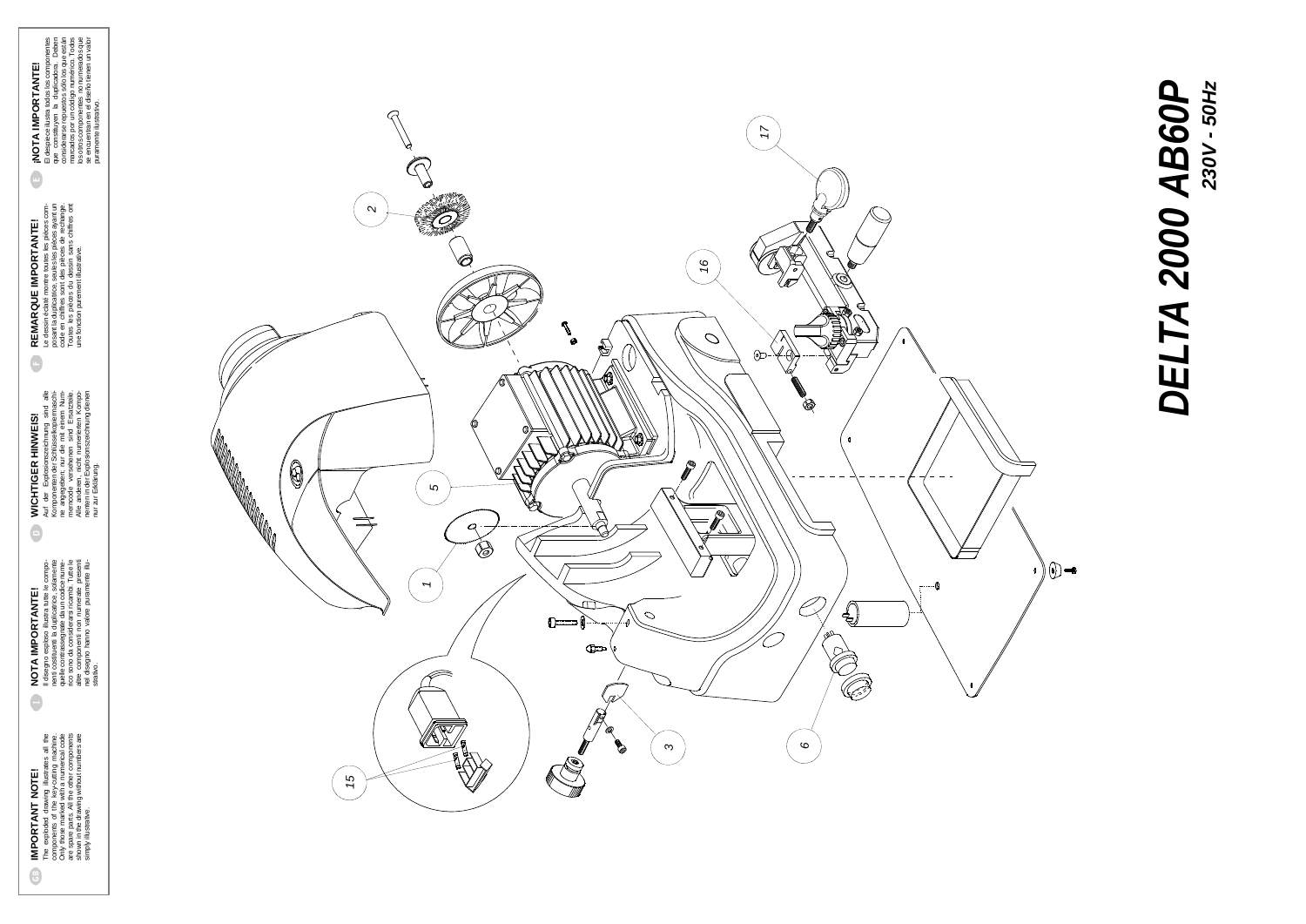## DELTA 2000 AB60P *DELTA 2000 AB60P*230V - 50Hz *230V - 50Hz*

nur zur Erklärung.

REMARQUE IMPORTANTE!<br>Le desin éclaté montre toutes les pièces com-<br>code en chiffres sont des pièces éclate de la pièces com-<br>code en chiffres sont des pièces de rechange.<br>Toutes les pièces du dessin sans chiffres ont<br>une f Le dessin éclaté montre toutes les pièces composant la duplicatrice, seules les pièces ayant un code en chiffres sont des pièces de rechange. Toutes les pièces du dessin sans chiffres ont **REMARQUE IMPORTANTE!** une fonction purement illustrative.  $\ddot{\bullet}$ 

 $\bullet$ 

 $[MOTA IMFORTANTE!]\footnote{El despiec ilustra todos los componentes que constituyen la duplicadora. Deben considerarse repuestos sólo los que están marcados por un código. Todos mérados por unóogo numérico. Todos se encuentra en el diseño imerados que se novanomen en el diseño imerados que puranente ilustrativo.$ se encuentran en el diseño tienen un valor El despiece ilustra todos los componentes que constituyen la duplicadora. Deben considerarse repuestos sólo los que están marcados por un código numérico. Todos los otros componentes no numerados que **¡NOTA IMPORTANTE!** puramente ilustrativo.



IMPORTANT NOTE!<br>The exploded drawing illustrates all the<br>Chy those ms of the key-curing machine.<br>Chy those meted web-curing machine.<br>are spare parts. All the other components<br>shown in the drawing without numbers are<br>simpl The exploded drawing illustrates all the Only those marked with a numerical code are spare parts. All the other components shown in the drawing without numbers are components of the key-cutting machine. **IMPORTANT NOTE!**  $\bigoplus$ 

simply illustrative.

**NOTA IMPORTANTE!**<br>Il disegno esploso illustra tutte le compo-<br>nenti costituenti la duplicatrice, solamente<br>quelle contrassegnate da un codice nume-<br>disegno da consideratsi ricarhoi. Tutte le<br>alto sono da consideratsi rica Il disegno esploso illustra tutte le componenti costituenti la duplicatrice, solamente quelle contrassegnate da un codice numerico sono da considerarsi ricambi. Tutte le altre componenti non numerate presenti nel disegno hanno valore puramente illu-**NOTA IMPORTANTE!**  $\ddot{\bullet}$ 

WICHTIGER HINWEIS!<br>Auf der Explosionszeichnung sind alle<br>KomponentenderSchlüsselkopiermaschi-<br>ne angegeben; nur die mit einem Num-<br>memoode versehenen sind Ersatztelle.<br>Allen in der Explosionszeichrung dienpo-<br>nenten in der Auf der Explosionszeichnung sind alle Komponenten der Schlüsselkopiermaschine angegeben; nur die mit einem Nummerncode versehenen sind Ersatzteile. Alle anderen, nicht numerierten Komponenten in der Explosionszeichnung dienen **WICHTIGER HINWEIS!**  $\Theta$